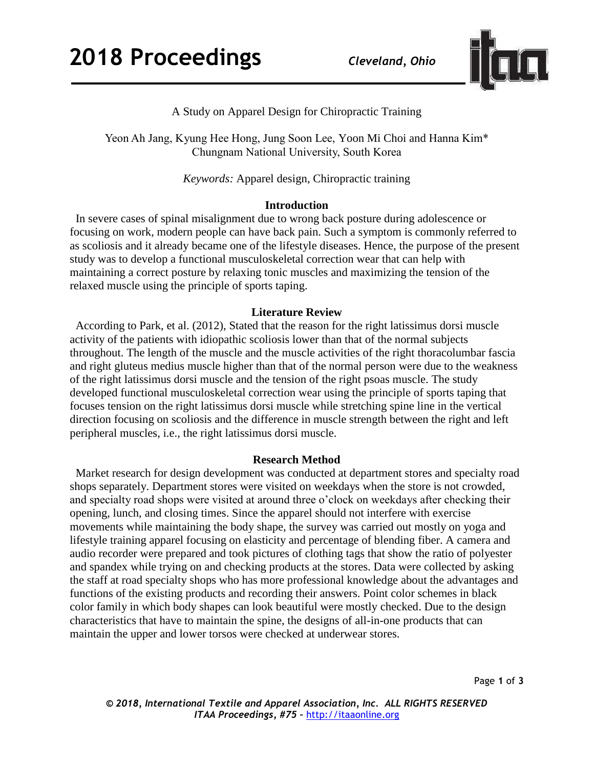

## A Study on Apparel Design for Chiropractic Training

Yeon Ah Jang, Kyung Hee Hong, Jung Soon Lee, Yoon Mi Choi and Hanna Kim\* Chungnam National University, South Korea

*Keywords:* Apparel design, Chiropractic training

### **Introduction**

In severe cases of spinal misalignment due to wrong back posture during adolescence or focusing on work, modern people can have back pain. Such a symptom is commonly referred to as scoliosis and it already became one of the lifestyle diseases. Hence, the purpose of the present study was to develop a functional musculoskeletal correction wear that can help with maintaining a correct posture by relaxing tonic muscles and maximizing the tension of the relaxed muscle using the principle of sports taping.

### **Literature Review**

According to Park, et al. (2012), Stated that the reason for the right latissimus dorsi muscle activity of the patients with idiopathic scoliosis lower than that of the normal subjects throughout. The length of the muscle and the muscle activities of the right thoracolumbar fascia and right gluteus medius muscle higher than that of the normal person were due to the weakness of the right latissimus dorsi muscle and the tension of the right psoas muscle. The study developed functional musculoskeletal correction wear using the principle of sports taping that focuses tension on the right latissimus dorsi muscle while stretching spine line in the vertical direction focusing on scoliosis and the difference in muscle strength between the right and left peripheral muscles, i.e., the right latissimus dorsi muscle.

#### **Research Method**

Market research for design development was conducted at department stores and specialty road shops separately. Department stores were visited on weekdays when the store is not crowded, and specialty road shops were visited at around three o'clock on weekdays after checking their opening, lunch, and closing times. Since the apparel should not interfere with exercise movements while maintaining the body shape, the survey was carried out mostly on yoga and lifestyle training apparel focusing on elasticity and percentage of blending fiber. A camera and audio recorder were prepared and took pictures of clothing tags that show the ratio of polyester and spandex while trying on and checking products at the stores. Data were collected by asking the staff at road specialty shops who has more professional knowledge about the advantages and functions of the existing products and recording their answers. Point color schemes in black color family in which body shapes can look beautiful were mostly checked. Due to the design characteristics that have to maintain the spine, the designs of all-in-one products that can maintain the upper and lower torsos were checked at underwear stores.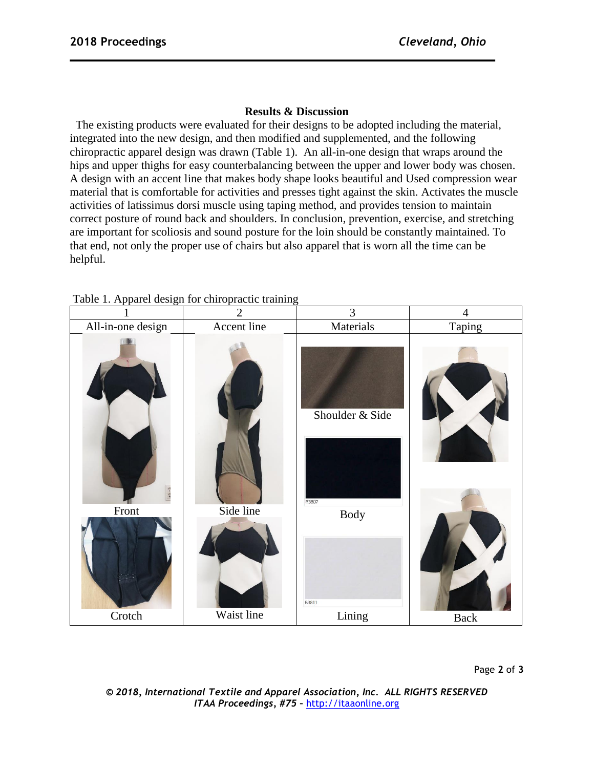## **Results & Discussion**

The existing products were evaluated for their designs to be adopted including the material, integrated into the new design, and then modified and supplemented, and the following chiropractic apparel design was drawn (Table 1). An all-in-one design that wraps around the hips and upper thighs for easy counterbalancing between the upper and lower body was chosen. A design with an accent line that makes body shape looks beautiful and Used compression wear material that is comfortable for activities and presses tight against the skin. Activates the muscle activities of latissimus dorsi muscle using taping method, and provides tension to maintain correct posture of round back and shoulders. In conclusion, prevention, exercise, and stretching are important for scoliosis and sound posture for the loin should be constantly maintained. To that end, not only the proper use of chairs but also apparel that is worn all the time can be helpful.

|                   | $\overline{2}$ | 3                                              | $\overline{4}$ |
|-------------------|----------------|------------------------------------------------|----------------|
| All-in-one design | Accent line    | Materials                                      | Taping         |
| Front             | Side line      | Shoulder & Side<br><b>B3807</b><br><b>Body</b> |                |
| Crotch            | Waist line     | B3811<br>Lining                                |                |
|                   |                |                                                | Back           |

Table 1. Apparel design for chiropractic training

Page **2** of **3**

*© 2018, International Textile and Apparel Association, Inc. ALL RIGHTS RESERVED ITAA Proceedings, #75 –* [http://itaaonline.org](http://itaaonline.org/)